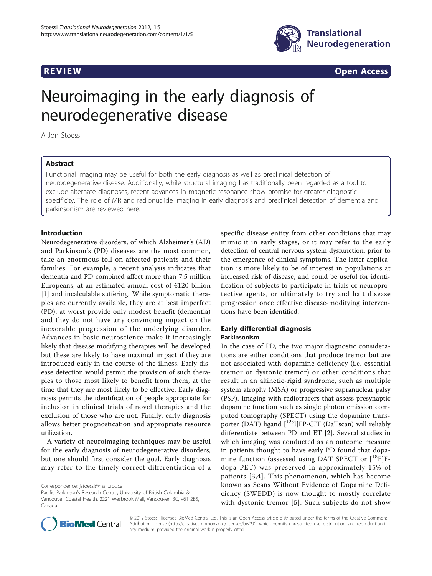

**REVIEW REVIEW CONSTRUCTER ACCESS** 

# Neuroimaging in the early diagnosis of neurodegenerative disease

A Jon Stoessl

# Abstract

Functional imaging may be useful for both the early diagnosis as well as preclinical detection of neurodegenerative disease. Additionally, while structural imaging has traditionally been regarded as a tool to exclude alternate diagnoses, recent advances in magnetic resonance show promise for greater diagnostic specificity. The role of MR and radionuclide imaging in early diagnosis and preclinical detection of dementia and parkinsonism are reviewed here.

# Introduction

Neurodegenerative disorders, of which Alzheimer's (AD) and Parkinson's (PD) diseases are the most common, take an enormous toll on affected patients and their families. For example, a recent analysis indicates that dementia and PD combined affect more than 7.5 million Europeans, at an estimated annual cost of  $E$ 120 billion [[1\]](#page-3-0) and incalculable suffering. While symptomatic therapies are currently available, they are at best imperfect (PD), at worst provide only modest benefit (dementia) and they do not have any convincing impact on the inexorable progression of the underlying disorder. Advances in basic neuroscience make it increasingly likely that disease modifying therapies will be developed but these are likely to have maximal impact if they are introduced early in the course of the illness. Early disease detection would permit the provision of such therapies to those most likely to benefit from them, at the time that they are most likely to be effective. Early diagnosis permits the identification of people appropriate for inclusion in clinical trials of novel therapies and the exclusion of those who are not. Finally, early diagnosis allows better prognostication and appropriate resource utilization.

A variety of neuroimaging techniques may be useful for the early diagnosis of neurodegenerative disorders, but one should first consider the goal. Early diagnosis may refer to the timely correct differentiation of a

specific disease entity from other conditions that may mimic it in early stages, or it may refer to the early detection of central nervous system dysfunction, prior to the emergence of clinical symptoms. The latter application is more likely to be of interest in populations at increased risk of disease, and could be useful for identification of subjects to participate in trials of neuroprotective agents, or ultimately to try and halt disease progression once effective disease-modifying interventions have been identified.

# Early differential diagnosis

### Parkinsonism

In the case of PD, the two major diagnostic considerations are either conditions that produce tremor but are not associated with dopamine deficiency (i.e. essential tremor or dystonic tremor) or other conditions that result in an akinetic-rigid syndrome, such as multiple system atrophy (MSA) or progressive supranuclear palsy (PSP). Imaging with radiotracers that assess presynaptic dopamine function such as single photon emission computed tomography (SPECT) using the dopamine transporter (DAT) ligand  $[$ <sup>123</sup>I]FP-CIT (DaTscan) will reliably differentiate between PD and ET [[2\]](#page-3-0). Several studies in which imaging was conducted as an outcome measure in patients thought to have early PD found that dopamine function (assessed using DAT SPECT or  $[^{18}F]F$ dopa PET) was preserved in approximately 15% of patients [[3](#page-3-0),[4](#page-3-0)]. This phenomenon, which has become known as Scans Without Evidence of Dopamine Deficiency (SWEDD) is now thought to mostly correlate with dystonic tremor [[5](#page-3-0)]. Such subjects do not show



© 2012 Stoessl; licensee BioMed Central Ltd. This is an Open Access article distributed under the terms of the Creative Commons Attribution License [\(http://creativecommons.org/licenses/by/2.0](http://creativecommons.org/licenses/by/2.0)), which permits unrestricted use, distribution, and reproduction in any medium, provided the original work is properly cited.

Correspondence: [jstoessl@mail.ubc.ca](mailto:jstoessl@mail.ubc.ca)

Pacific Parkinson's Research Centre, University of British Columbia & Vancouver Coastal Health, 2221 Wesbrook Mall, Vancouver, BC, V6T 2B5, Canada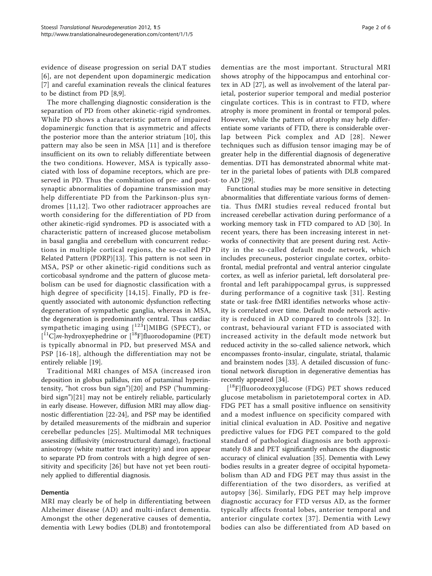evidence of disease progression on serial DAT studies [[6](#page-3-0)], are not dependent upon dopaminergic medication [[7\]](#page-3-0) and careful examination reveals the clinical features to be distinct from PD [\[8,9](#page-3-0)].

The more challenging diagnostic consideration is the separation of PD from other akinetic-rigid syndromes. While PD shows a characteristic pattern of impaired dopaminergic function that is asymmetric and affects the posterior more than the anterior striatum [\[10\]](#page-3-0), this pattern may also be seen in MSA [[11\]](#page-3-0) and is therefore insufficient on its own to reliably differentiate between the two conditions. However, MSA is typically associated with loss of dopamine receptors, which are preserved in PD. Thus the combination of pre- and postsynaptic abnormalities of dopamine transmission may help differentiate PD from the Parkinson-plus syndromes [[11](#page-3-0),[12\]](#page-3-0). Two other radiotracer approaches are worth considering for the differentiation of PD from other akinetic-rigid syndromes. PD is associated with a characteristic pattern of increased glucose metabolism in basal ganglia and cerebellum with concurrent reductions in multiple cortical regions, the so-called PD Related Pattern (PDRP)[[13](#page-4-0)]. This pattern is not seen in MSA, PSP or other akinetic-rigid conditions such as corticobasal syndrome and the pattern of glucose metabolism can be used for diagnostic classification with a high degree of specificity [[14,15\]](#page-4-0). Finally, PD is frequently associated with autonomic dysfunction reflecting degeneration of sympathetic ganglia, whereas in MSA, the degeneration is predominantly central. Thus cardiac sympathetic imaging using  $[123]$ MIBG (SPECT), or  $[$ <sup>11</sup>C]*m*-hydroxyephedrine or  $[$ <sup>18</sup>F]fluorodopamine (PET) is typically abnormal in PD, but preserved MSA and PSP [[16](#page-4-0)-[18\]](#page-4-0), although the differentiation may not be entirely reliable [\[19](#page-4-0)].

Traditional MRI changes of MSA (increased iron deposition in globus pallidus, rim of putaminal hyperintensity, "hot cross bun sign")[[20\]](#page-4-0) and PSP ("hummingbird sign")[\[21](#page-4-0)] may not be entirely reliable, particularly in early disease. However, diffusion MRI may allow diagnostic differentiation [\[22-24](#page-4-0)], and PSP may be identified by detailed measurements of the midbrain and superior cerebellar peduncles [[25](#page-4-0)]. Multimodal MR techniques assessing diffusivity (microstructural damage), fractional anisotropy (white matter tract integrity) and iron appear to separate PD from controls with a high degree of sensitivity and specificity [\[26](#page-4-0)] but have not yet been routinely applied to differential diagnosis.

#### Dementia

MRI may clearly be of help in differentiating between Alzheimer disease (AD) and multi-infarct dementia. Amongst the other degenerative causes of dementia, dementia with Lewy bodies (DLB) and frontotemporal dementias are the most important. Structural MRI shows atrophy of the hippocampus and entorhinal cortex in AD [\[27\]](#page-4-0), as well as involvement of the lateral parietal, posterior superior temporal and medial posterior cingulate cortices. This is in contrast to FTD, where atrophy is more prominent in frontal or temporal poles. However, while the pattern of atrophy may help differentiate some variants of FTD, there is considerable overlap between Pick complex and AD [\[28](#page-4-0)]. Newer techniques such as diffusion tensor imaging may be of greater help in the differential diagnosis of degenerative dementias. DTI has demonstrated abnormal white matter in the parietal lobes of patients with DLB compared to AD [[29](#page-4-0)].

Functional studies may be more sensitive in detecting abnormalities that differentiate various forms of dementia. Thus fMRI studies reveal reduced frontal but increased cerebellar activation during performance of a working memory task in FTD compared to AD [[30\]](#page-4-0). In recent years, there has been increasing interest in networks of connectivity that are present during rest. Activity in the so-called default mode network, which includes precuneus, posterior cingulate cortex, orbitofrontal, medial prefrontal and ventral anterior cingulate cortex, as well as inferior parietal, left dorsolateral prefrontal and left parahippocampal gyrus, is suppressed during performance of a cognitive task [[31\]](#page-4-0). Resting state or task-free fMRI identifies networks whose activity is correlated over time. Default mode network activity is reduced in AD compared to controls [[32](#page-4-0)]. In contrast, behavioural variant FTD is associated with increased activity in the default mode network but reduced activity in the so-called salience network, which encompasses fronto-insular, cingulate, striatal, thalamic and brainstem nodes [\[33\]](#page-4-0). A detailed discussion of functional network disruption in degenerative dementias has recently appeared [\[34](#page-4-0)].

[ 18F]fluorodeoxyglucose (FDG) PET shows reduced glucose metabolism in parietotemporal cortex in AD. FDG PET has a small positive influence on sensitivity and a modest influence on specificity compared with initial clinical evaluation in AD. Positive and negative predictive values for FDG PET compared to the gold standard of pathological diagnosis are both approximately 0.8 and PET significantly enhances the diagnostic accuracy of clinical evaluation [[35\]](#page-4-0). Dementia with Lewy bodies results in a greater degree of occipital hypometabolism than AD and FDG PET may thus assist in the differentiation of the two disorders, as verified at autopsy [[36](#page-4-0)]. Similarly, FDG PET may help improve diagnostic accuracy for FTD versus AD, as the former typically affects frontal lobes, anterior temporal and anterior cingulate cortex [[37\]](#page-4-0). Dementia with Lewy bodies can also be differentiated from AD based on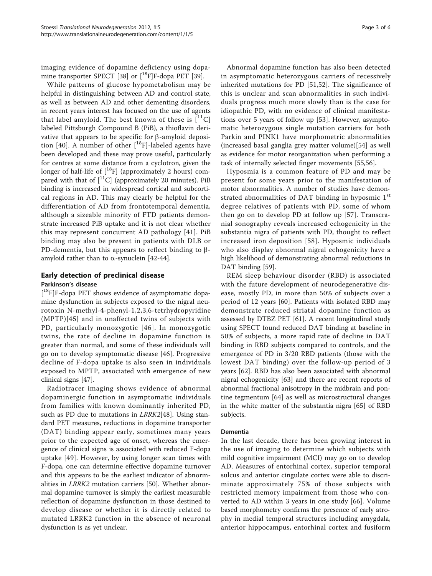imaging evidence of dopamine deficiency using dopa-mine transporter SPECT [[38](#page-4-0)] or  $[{}^{18}F]F$ -dopa PET [\[39\]](#page-4-0).

While patterns of glucose hypometabolism may be helpful in distinguishing between AD and control state, as well as between AD and other dementing disorders, in recent years interest has focused on the use of agents that label amyloid. The best known of these is  $\binom{11}{1}$ labeled Pittsburgh Compound B (PiB), a thioflavin derivative that appears to be specific for  $\beta$ -amyloid deposi-tion [\[40\]](#page-4-0). A number of other  $[^{18}F]$ -labeled agents have been developed and these may prove useful, particularly for centres at some distance from a cyclotron, given the longer of half-life of  $[$ <sup>18</sup>F] (approximately 2 hours) compared with that of  $\vert^{11}C\vert$  (approximately 20 minutes). PiB binding is increased in widespread cortical and subcortical regions in AD. This may clearly be helpful for the differentiation of AD from frontotemporal dementia, although a sizeable minority of FTD patients demonstrate increased PiB uptake and it is not clear whether this may represent concurrent AD pathology [[41](#page-4-0)]. PiB binding may also be present in patients with DLB or PD-dementia, but this appears to reflect binding to  $\beta$ amyloid rather than to  $\alpha$ -synuclein [[42-44](#page-4-0)].

# Early detection of preclinical disease

#### Parkinson's disease

[ 18F]F-dopa PET shows evidence of asymptomatic dopamine dysfunction in subjects exposed to the nigral neurotoxin N-methyl-4-phenyl-1,2,3,6-tetrhydropyridine (MPTP)[[45\]](#page-4-0) and in unaffected twins of subjects with PD, particularly monozygotic [[46](#page-4-0)]. In monozygotic twins, the rate of decline in dopamine function is greater than normal, and some of these individuals will go on to develop symptomatic disease [[46\]](#page-4-0). Progressive decline of F-dopa uptake is also seen in individuals exposed to MPTP, associated with emergence of new clinical signs [\[47\]](#page-4-0).

Radiotracer imaging shows evidence of abnormal dopaminergic function in asymptomatic individuals from families with known dominantly inherited PD, such as PD due to mutations in LRRK2[\[48](#page-4-0)]. Using standard PET measures, reductions in dopamine transporter (DAT) binding appear early, sometimes many years prior to the expected age of onset, whereas the emergence of clinical signs is associated with reduced F-dopa uptake [[49\]](#page-4-0). However, by using longer scan times with F-dopa, one can determine effective dopamine turnover and this appears to be the earliest indicator of abnormalities in LRRK2 mutation carriers [[50\]](#page-4-0). Whether abnormal dopamine turnover is simply the earliest measurable reflection of dopamine dysfunction in those destined to develop disease or whether it is directly related to mutated LRRK2 function in the absence of neuronal dysfunction is as yet unclear.

Abnormal dopamine function has also been detected in asymptomatic heterozygous carriers of recessively inherited mutations for PD [[51,52](#page-4-0)]. The significance of this is unclear and scan abnormalities in such individuals progress much more slowly than is the case for idiopathic PD, with no evidence of clinical manifestations over 5 years of follow up [\[53](#page-4-0)]. However, asymptomatic heterozygous single mutation carriers for both Parkin and PINK1 have morphometric abnormalities (increased basal ganglia grey matter volume)[[54\]](#page-4-0) as well as evidence for motor reorganization when performing a task of internally selected finger movements [\[55](#page-4-0)[,56\]](#page-5-0).

Hyposmia is a common feature of PD and may be present for some years prior to the manifestation of motor abnormalities. A number of studies have demonstrated abnormalities of DAT binding in hyposmic  $1<sup>st</sup>$ degree relatives of patients with PD, some of whom then go on to develop PD at follow up [[57](#page-5-0)]. Transcranial sonography reveals increased echogenicity in the substantia nigra of patients with PD, thought to reflect increased iron deposition [[58](#page-5-0)]. Hyposmic individuals who also display abnormal nigral echogenicity have a high likelihood of demonstrating abnormal reductions in DAT binding [[59](#page-5-0)].

REM sleep behaviour disorder (RBD) is associated with the future development of neurodegenerative disease, mostly PD, in more than 50% of subjects over a period of 12 years [\[60](#page-5-0)]. Patients with isolated RBD may demonstrate reduced striatal dopamine function as assessed by DTBZ PET [\[61\]](#page-5-0). A recent longitudinal study using SPECT found reduced DAT binding at baseline in 50% of subjects, a more rapid rate of decline in DAT binding in RBD subjects compared to controls, and the emergence of PD in 3/20 RBD patients (those with the lowest DAT binding) over the follow-up period of 3 years [\[62](#page-5-0)]. RBD has also been associated with abnormal nigral echogenicity [[63](#page-5-0)] and there are recent reports of abnormal fractional anisotropy in the midbrain and pontine tegmentum [[64\]](#page-5-0) as well as microstructural changes in the white matter of the substantia nigra [\[65](#page-5-0)] of RBD subjects.

# Dementia

In the last decade, there has been growing interest in the use of imaging to determine which subjects with mild cognitive impairment (MCI) may go on to develop AD. Measures of entorhinal cortex, superior temporal sulcus and anterior cingulate cortex were able to discriminate approximately 75% of those subjects with restricted memory impairment from those who converted to AD within 3 years in one study [[66\]](#page-5-0). Volume based morphometry confirms the presence of early atrophy in medial temporal structures including amygdala, anterior hippocampus, entorhinal cortex and fusiform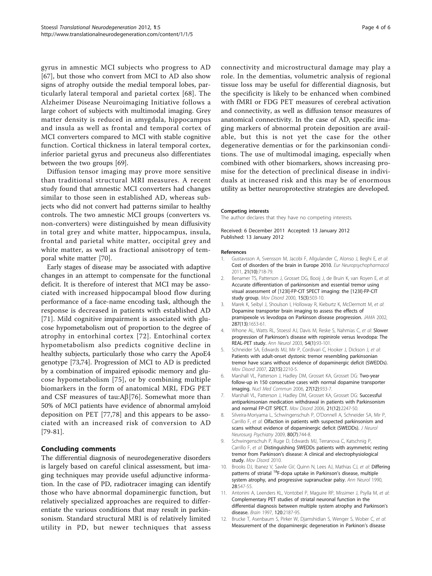<span id="page-3-0"></span>gyrus in amnestic MCI subjects who progress to AD [[67\]](#page-5-0), but those who convert from MCI to AD also show signs of atrophy outside the medial temporal lobes, particularly lateral temporal and parietal cortex [[68\]](#page-5-0). The Alzheimer Disease Neuroimaging Initiative follows a large cohort of subjects with multimodal imaging. Grey matter density is reduced in amygdala, hippocampus and insula as well as frontal and temporal cortex of MCI converters compared to MCI with stable cognitive function. Cortical thickness in lateral temporal cortex, inferior parietal gyrus and precuneus also differentiates between the two groups [[69\]](#page-5-0).

Diffusion tensor imaging may prove more sensitive than traditional structural MRI measures. A recent study found that amnestic MCI converters had changes similar to those seen in established AD, whereas subjects who did not convert had patterns similar to healthy controls. The two amnestic MCI groups (converters vs. non-converters) were distinguished by mean diffusivity in total grey and white matter, hippocampus, insula, frontal and parietal white matter, occipital grey and white matter, as well as fractional anisotropy of temporal white matter [\[70](#page-5-0)].

Early stages of disease may be associated with adaptive changes in an attempt to compensate for the functional deficit. It is therefore of interest that MCI may be associated with increased hippocampal blood flow during performance of a face-name encoding task, although the response is decreased in patients with established AD [[71](#page-5-0)]. Mild cognitive impairment is associated with glucose hypometabolism out of proportion to the degree of atrophy in entorhinal cortex [[72](#page-5-0)]. Entorhinal cortex hypometabolism also predicts cognitive decline in healthy subjects, particularly those who carry the ApoE4 genotype [[73](#page-5-0),[74](#page-5-0)]. Progression of MCI to AD is predicted by a combination of impaired episodic memory and glucose hypometabolism [[75](#page-5-0)], or by combining multiple biomarkers in the form of anatomical MRI, FDG PET and CSF measures of tau: $A\beta$ [[76](#page-5-0)]. Somewhat more than 50% of MCI patients have evidence of abnormal amyloid deposition on PET [[77,78\]](#page-5-0) and this appears to be associated with an increased risk of conversion to AD [[79-81\]](#page-5-0).

# Concluding comments

The differential diagnosis of neurodegenerative disorders is largely based on careful clinical assessment, but imaging techniques may provide useful adjunctive information. In the case of PD, radiotracer imaging can identify those who have abnormal dopaminergic function, but relatively specialized approaches are required to differentiate the various conditions that may result in parkinsonism. Standard structural MRI is of relatively limited utility in PD, but newer techniques that assess connectivity and microstructural damage may play a role. In the dementias, volumetric analysis of regional tissue loss may be useful for differential diagnosis, but the specificity is likely to be enhanced when combined with fMRI or FDG PET measures of cerebral activation and connectivity, as well as diffusion tensor measures of anatomical connectivity. In the case of AD, specific imaging markers of abnormal protein deposition are available, but this is not yet the case for the other degenerative dementias or for the parkinsonian conditions. The use of multimodal imaging, especially when combined with other biomarkers, shows increasing promise for the detection of preclinical disease in individuals at increased risk and this may be of enormous utility as better neuroprotective strategies are developed.

#### Competing interests

The author declares that they have no competing interests.

Received: 6 December 2011 Accepted: 13 January 2012 Published: 13 January 2012

#### References

- Gustavsson A, Svensson M, Jacobi F, Allgulander C, Alonso J, Beghi E, et al: [Cost of disorders of the brain in Europe 2010.](http://www.ncbi.nlm.nih.gov/pubmed/21924589?dopt=Abstract) Eur Neuropsychopharmacol 2011, 21(10):718-79.
- 2. Benamer TS, Patterson J, Grosset DG, Booij J, de Bruin K, van Royen E, et al: [Accurate differentiation of parkinsonism and essential tremor using](http://www.ncbi.nlm.nih.gov/pubmed/10830416?dopt=Abstract) [visual assessment of \[123I\]-FP-CIT SPECT imaging: the \[123I\]-FP-CIT](http://www.ncbi.nlm.nih.gov/pubmed/10830416?dopt=Abstract) [study group.](http://www.ncbi.nlm.nih.gov/pubmed/10830416?dopt=Abstract) Mov Disord 2000, 15(3):503-10.
- 3. Marek K, Seibyl J, Shoulson I, Holloway R, Kieburtz K, McDermott M, et al: [Dopamine transporter brain imaging to assess the effects of](http://www.ncbi.nlm.nih.gov/pubmed/11926889?dopt=Abstract) [pramipexole vs levodopa on Parkinson disease progression.](http://www.ncbi.nlm.nih.gov/pubmed/11926889?dopt=Abstract) JAMA 2002, 287(13):1653-61.
- 4. Whone AL, Watts RL, Stoessl AJ, Davis M, Reske S, Nahmias C, et al: [Slower](http://www.ncbi.nlm.nih.gov/pubmed/12838524?dopt=Abstract) progression of Parkinson'[s disease with ropinirole versus levodopa: The](http://www.ncbi.nlm.nih.gov/pubmed/12838524?dopt=Abstract) [REAL-PET study.](http://www.ncbi.nlm.nih.gov/pubmed/12838524?dopt=Abstract) Ann Neurol 2003, 54(1):93-101.
- 5. Schneider SA, Edwards MJ, Mir P, Cordivari C, Hooker J, Dickson J, et al: [Patients with adult-onset dystonic tremor resembling parkinsonian](http://www.ncbi.nlm.nih.gov/pubmed/17712858?dopt=Abstract) [tremor have scans without evidence of dopaminergic deficit \(SWEDDs\).](http://www.ncbi.nlm.nih.gov/pubmed/17712858?dopt=Abstract) Mov Disord 2007, 22(15):2210-5.
- 6. Marshall VL, Patterson J, Hadley DM, Grosset KA, Grosset DG: [Two-year](http://www.ncbi.nlm.nih.gov/pubmed/17088677?dopt=Abstract) [follow-up in 150 consecutive cases with normal dopamine transporter](http://www.ncbi.nlm.nih.gov/pubmed/17088677?dopt=Abstract) [imaging.](http://www.ncbi.nlm.nih.gov/pubmed/17088677?dopt=Abstract) Nucl Med Commun 2006, 27(12):933-7.
- 7. Marshall VL, Patterson J, Hadley DM, Grosset KA, Grosset DG: [Successful](http://www.ncbi.nlm.nih.gov/pubmed/17078059?dopt=Abstract) [antiparkinsonian medication withdrawal in patients with Parkinsonism](http://www.ncbi.nlm.nih.gov/pubmed/17078059?dopt=Abstract) [and normal FP-CIT SPECT.](http://www.ncbi.nlm.nih.gov/pubmed/17078059?dopt=Abstract) Mov Disord 2006, 21(12):2247-50.
- 8. Silveira-Moriyama L, Schwingenschuh P, O'Donnell A, Schneider SA, Mir P, Carrillo F, et al: [Olfaction in patients with suspected parkinsonism and](http://www.ncbi.nlm.nih.gov/pubmed/19276101?dopt=Abstract) [scans without evidence of dopaminergic deficit \(SWEDDs\).](http://www.ncbi.nlm.nih.gov/pubmed/19276101?dopt=Abstract) J Neurol Neurosurg Psychiatry 2009, 80(7):744-8.
- 9. Schwingenschuh P, Ruge D, Edwards MJ, Terranova C, Katschnig P, Carrillo F, et al: Distinguishing SWEDDs patients with asymmetric resting tremor from Parkinson's disease: A clinical and electrophysiological study. Mov Disord 2010.
- 10. Brooks DJ, Ibanez V, Sawle GV, Ouinn N, Lees AJ, Mathias CJ, et al: [Differing](http://www.ncbi.nlm.nih.gov/pubmed/2132742?dopt=Abstract) [patterns](http://www.ncbi.nlm.nih.gov/pubmed/2132742?dopt=Abstract) [of](http://www.ncbi.nlm.nih.gov/pubmed/2132742?dopt=Abstract) [striatal](http://www.ncbi.nlm.nih.gov/pubmed/2132742?dopt=Abstract) <sup>18</sup>F-dopa uptake in Parkinson's disease, multiple [system atrophy, and progressive supranuclear palsy.](http://www.ncbi.nlm.nih.gov/pubmed/2132742?dopt=Abstract) Ann Neurol 1990, 28:547-55.
- 11. Antonini A, Leenders KL, Vontobel P, Maguire RP, Missimer J, Psylla M, et al: [Complementary PET studies of striatal neuronal function in the](http://www.ncbi.nlm.nih.gov/pubmed/9448574?dopt=Abstract) [differential diagnosis between multiple system atrophy and Parkinson](http://www.ncbi.nlm.nih.gov/pubmed/9448574?dopt=Abstract)'s [disease.](http://www.ncbi.nlm.nih.gov/pubmed/9448574?dopt=Abstract) Brain 1997, 120:2187-95.
- 12. Brucke T, Asenbaum S, Pirker W, Djamshidian S, Wenger S, Wober C, et al: Measurement of the dopaminergic degeneration in Parkinon's disease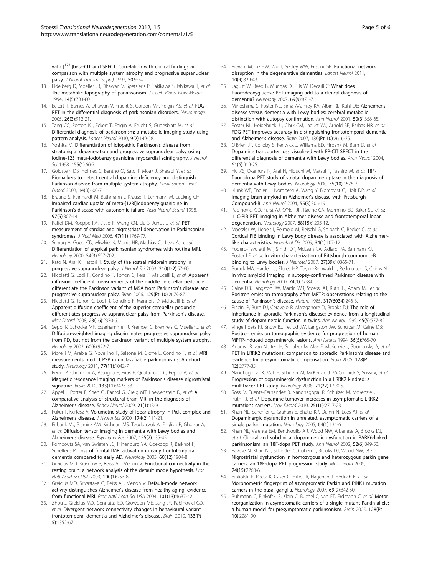<span id="page-4-0"></span>with  $[123]$ Ibeta-CIT and SPECT. Correlation with clinical findings and comparison with multiple system atrophy and progressive supranuclear palsy. J Neural Transm (Suppl) 1997, 50:9-24.

- 13. Eidelberg D, Moeller JR, Dhawan V, Spetsieris P, Takikawa S, Ishikawa T, et al: [The metabolic topography of parkinsonism.](http://www.ncbi.nlm.nih.gov/pubmed/8063874?dopt=Abstract) J Cereb Blood Flow Metab 1994, 14(5):783-801.
- 14. Eckert T, Barnes A, Dhawan V, Frucht S, Gordon MF, Feigin AS, et al: [FDG](http://www.ncbi.nlm.nih.gov/pubmed/15955501?dopt=Abstract) [PET in the differential diagnosis of parkinsonian disorders.](http://www.ncbi.nlm.nih.gov/pubmed/15955501?dopt=Abstract) Neuroimage 2005, 26(3):912-21.
- 15. Tang CC, Poston KL, Eckert T, Feigin A, Frucht S, Gudesblatt M, et al: [Differential diagnosis of parkinsonism: a metabolic imaging study using](http://www.ncbi.nlm.nih.gov/pubmed/20061183?dopt=Abstract) [pattern analysis.](http://www.ncbi.nlm.nih.gov/pubmed/20061183?dopt=Abstract) Lancet Neurol 2010, 9(2):149-58.
- 16. Yoshita M: [Differentiation of idiopathic Parkinson](http://www.ncbi.nlm.nih.gov/pubmed/9562324?dopt=Abstract)'s disease from [striatonigral degeneration and progressive supranuclear palsy using](http://www.ncbi.nlm.nih.gov/pubmed/9562324?dopt=Abstract) [iodine-123 meta-iodobenzylguanidine myocardial scintigraphy.](http://www.ncbi.nlm.nih.gov/pubmed/9562324?dopt=Abstract) J Neurol Sci 1998, 155(1):60-7.
- 17. Goldstein DS, Holmes C, Bentho O, Sato T, Moak J, Sharabi Y, et al: [Biomarkers to detect central dopamine deficiency and distinguish](http://www.ncbi.nlm.nih.gov/pubmed/18325818?dopt=Abstract) [Parkinson disease from multiple system atrophy.](http://www.ncbi.nlm.nih.gov/pubmed/18325818?dopt=Abstract) Parkinsonism Relat Disord 2008, 14(8):600-7.
- 18. Braune S, Reinhardt M, Bathmann J, Krause T, Lehmann M, Lucking CH: [Impaired cardiac uptake of meta-\[123I\]iodobenzylguanidine in](http://www.ncbi.nlm.nih.gov/pubmed/9613560?dopt=Abstract) Parkinson'[s disease with autonomic failure.](http://www.ncbi.nlm.nih.gov/pubmed/9613560?dopt=Abstract) Acta Neurol Scand 1998, 97(5):307-14.
- 19. Raffel DM, Koeppe RA, Little R, Wang CN, Liu S, Junck L, et al: [PET](http://www.ncbi.nlm.nih.gov/pubmed/17079809?dopt=Abstract) [measurement of cardiac and nigrostriatal denervation in Parkinsonian](http://www.ncbi.nlm.nih.gov/pubmed/17079809?dopt=Abstract) [syndromes.](http://www.ncbi.nlm.nih.gov/pubmed/17079809?dopt=Abstract) J Nucl Med 2006, 47(11):1769-77.
- 20. Schrag A, Good CD, Miszkiel K, Morris HR, Mathias CJ, Lees AJ, et al: [Differentiation of atypical parkinsonian syndromes with routine MRI.](http://www.ncbi.nlm.nih.gov/pubmed/10680806?dopt=Abstract) Neurology 2000, 54(3):697-702.
- 21. Kato N, Arai K, Hattori T: [Study of the rostral midbrain atrophy in](http://www.ncbi.nlm.nih.gov/pubmed/12736089?dopt=Abstract) [progressive supranuclear palsy.](http://www.ncbi.nlm.nih.gov/pubmed/12736089?dopt=Abstract) J Neurol Sci 2003, 210(1-2):57-60.
- 22. Nicoletti G, Lodi R, Condino F, Tonon C, Fera F, Malucelli E, et al: [Apparent](http://www.ncbi.nlm.nih.gov/pubmed/16815875?dopt=Abstract) [diffusion coefficient measurements of the middle cerebellar peduncle](http://www.ncbi.nlm.nih.gov/pubmed/16815875?dopt=Abstract) [differentiate the Parkinson variant of MSA from Parkinson](http://www.ncbi.nlm.nih.gov/pubmed/16815875?dopt=Abstract)'s disease and [progressive supranuclear palsy.](http://www.ncbi.nlm.nih.gov/pubmed/16815875?dopt=Abstract) Brain 2006, 129(Pt 10):2679-87.
- 23. Nicoletti G, Tonon C, Lodi R, Condino F, Manners D, Malucelli E, et al: [Apparent diffusion coefficient of the superior cerebellar peduncle](http://www.ncbi.nlm.nih.gov/pubmed/18816803?dopt=Abstract) [differentiates progressive supranuclear palsy from Parkinson](http://www.ncbi.nlm.nih.gov/pubmed/18816803?dopt=Abstract)'s disease. Mov Disord 2008, 23(16):2370-6.
- 24. Seppi K, Schocke MF, Esterhammer R, Kremser C, Brenneis C, Mueller J, et al: [Diffusion-weighted imaging discriminates progressive supranuclear palsy](http://www.ncbi.nlm.nih.gov/pubmed/12654954?dopt=Abstract) [from PD, but not from the parkinson variant of multiple system atrophy.](http://www.ncbi.nlm.nih.gov/pubmed/12654954?dopt=Abstract) Neurology 2003, 60(6):922-7.
- 25. Morelli M, Arabia G, Novellino F, Salsone M, Giofre L, Condino F, et al: [MRI](http://www.ncbi.nlm.nih.gov/pubmed/21832222?dopt=Abstract) [measurements predict PSP in unclassifiable parkinsonisms: A cohort](http://www.ncbi.nlm.nih.gov/pubmed/21832222?dopt=Abstract) [study.](http://www.ncbi.nlm.nih.gov/pubmed/21832222?dopt=Abstract) Neurology 2011, 77(11):1042-7.
- 26. Peran P, Cherubini A, Assogna F, Piras F, Quattrocchi C, Peppe A, et al: [Magnetic resonance imaging markers of Parkinson](http://www.ncbi.nlm.nih.gov/pubmed/20736190?dopt=Abstract)'s disease nigrostriatal [signature.](http://www.ncbi.nlm.nih.gov/pubmed/20736190?dopt=Abstract) Brain 2010, 133(11):3423-33.
- 27. [A](http://www.ncbi.nlm.nih.gov/pubmed/19847041?dopt=Abstract)ppel J, Potter E, Shen Q, Pantol G, Greig MT, Loewenstein D, et al: A [comparative analysis of structural brain MRI in the diagnosis of](http://www.ncbi.nlm.nih.gov/pubmed/19847041?dopt=Abstract) [Alzheimer](http://www.ncbi.nlm.nih.gov/pubmed/19847041?dopt=Abstract)'s disease. Behav Neurol 2009, 21(1):13-9.
- 28. Fukui T, Kertesz A: [Volumetric study of lobar atrophy in Pick complex and](http://www.ncbi.nlm.nih.gov/pubmed/10727696?dopt=Abstract) [Alzheimer](http://www.ncbi.nlm.nih.gov/pubmed/10727696?dopt=Abstract)'s disease. J Neurol Sci 2000, 174(2):111-21.
- 29. Firbank MJ, Blamire AM, Krishnan MS, Teodorczuk A, English P, Gholkar A, et al: [Diffusion tensor imaging in dementia with Lewy bodies and](http://www.ncbi.nlm.nih.gov/pubmed/17408930?dopt=Abstract) [Alzheimer](http://www.ncbi.nlm.nih.gov/pubmed/17408930?dopt=Abstract)'s disease. Psychiatry Res 2007, 155(2):135-45.
- 30. Rombouts SA, van Swieten JC, Pijnenburg YA, Goekoop R, Barkhof F, Scheltens P: [Loss of frontal fMRI activation in early frontotemporal](http://www.ncbi.nlm.nih.gov/pubmed/12821731?dopt=Abstract) [dementia compared to early AD.](http://www.ncbi.nlm.nih.gov/pubmed/12821731?dopt=Abstract) Neurology 2003, 60(12):1904-8.
- 31. Greicius MD, Krasnow B, Reiss AL, Menon V: [Functional connectivity in the](http://www.ncbi.nlm.nih.gov/pubmed/12506194?dopt=Abstract) [resting brain: a network analysis of the default mode hypothesis.](http://www.ncbi.nlm.nih.gov/pubmed/12506194?dopt=Abstract) Proc Natl Acad Sci USA 2003, 100(1):253-8.
- 32. Greicius MD, Srivastava G, Reiss AL, Menon V: [Default-mode network](http://www.ncbi.nlm.nih.gov/pubmed/15070770?dopt=Abstract) activity distinguishes Alzheimer'[s disease from healthy aging: evidence](http://www.ncbi.nlm.nih.gov/pubmed/15070770?dopt=Abstract) [from functional MRI.](http://www.ncbi.nlm.nih.gov/pubmed/15070770?dopt=Abstract) Proc Natl Acad Sci USA 2004, 101(13):4637-42.
- 33. Zhou J, Greicius MD, Gennatas ED, Growdon ME, Jang JY, Rabinovici GD, et al: [Divergent network connectivity changes in behavioural variant](http://www.ncbi.nlm.nih.gov/pubmed/20410145?dopt=Abstract) [frontotemporal dementia and Alzheimer](http://www.ncbi.nlm.nih.gov/pubmed/20410145?dopt=Abstract)'s disease. Brain 2010, 133(Pt 5):1352-67.
- 34. Pievani M, de HW, Wu T, Seeley WW, Frisoni GB: [Functional network](http://www.ncbi.nlm.nih.gov/pubmed/21778116?dopt=Abstract) [disruption in the degenerative dementias.](http://www.ncbi.nlm.nih.gov/pubmed/21778116?dopt=Abstract) Lancet Neurol 2011, 10(9):829-43.
- 35. Jagust W, Reed B, Mungas D, Ellis W, Decarli C: [What does](http://www.ncbi.nlm.nih.gov/pubmed/17724289?dopt=Abstract) [fluorodeoxyglucose PET imaging add to a clinical diagnosis of](http://www.ncbi.nlm.nih.gov/pubmed/17724289?dopt=Abstract) [dementia?](http://www.ncbi.nlm.nih.gov/pubmed/17724289?dopt=Abstract) Neurology 2007, 69(9):871-7.
- 36. Minoshima S, Foster NL, Sima AA, Frey KA, Albin RL, Kuhl DE: [Alzheimer](http://www.ncbi.nlm.nih.gov/pubmed/11558792?dopt=Abstract)'s [disease versus dementia with Lewy bodies: cerebral metabolic](http://www.ncbi.nlm.nih.gov/pubmed/11558792?dopt=Abstract) [distinction with autopsy confirmation.](http://www.ncbi.nlm.nih.gov/pubmed/11558792?dopt=Abstract) Ann Neurol 2001, 50(3):358-65.
- 37. Foster NL, Heidebrink JL, Clark CM, Jagust WJ, Arnold SE, Barbas NR, et al: [FDG-PET improves accuracy in distinguishing frontotemporal dementia](http://www.ncbi.nlm.nih.gov/pubmed/17704526?dopt=Abstract) [and Alzheimer](http://www.ncbi.nlm.nih.gov/pubmed/17704526?dopt=Abstract)'s disease. Brain 2007, 130(Pt 10):2616-35.
- 38. O'Brien JT, Colloby S, Fenwick J, Williams ED, Firbank M, Burn D, et al: [Dopamine transporter loss visualized with FP-CIT SPECT in the](http://www.ncbi.nlm.nih.gov/pubmed/15210531?dopt=Abstract) [differential diagnosis of dementia with Lewy bodies.](http://www.ncbi.nlm.nih.gov/pubmed/15210531?dopt=Abstract) Arch Neurol 2004, 61(6):919-25.
- 39. Hu XS, Okamura N, Arai H, Higuchi M, Matsui T, Tashiro M, et al: [18F](http://www.ncbi.nlm.nih.gov/pubmed/11094120?dopt=Abstract)[fluorodopa PET study of striatal dopamine uptake in the diagnosis of](http://www.ncbi.nlm.nih.gov/pubmed/11094120?dopt=Abstract) [dementia with Lewy bodies.](http://www.ncbi.nlm.nih.gov/pubmed/11094120?dopt=Abstract) Neurology 2000, 55(10):1575-7.
- 40. Klunk WE, Engler H, Nordberg A, Wang Y, Blomqvist G, Holt DP, et al: [Imaging brain amyloid in Alzheimer](http://www.ncbi.nlm.nih.gov/pubmed/14991808?dopt=Abstract)'s disease with Pittsburgh [Compound-B.](http://www.ncbi.nlm.nih.gov/pubmed/14991808?dopt=Abstract) Ann Neurol 2004, 55(3):306-19.
- 41. Rabinovici GD, Furst AJ, O'Neil JP, Racine CA, Mormino EC, Baker SL, et al: [11C-PIB PET imaging in Alzheimer disease and frontotemporal lobar](http://www.ncbi.nlm.nih.gov/pubmed/17420404?dopt=Abstract) [degeneration.](http://www.ncbi.nlm.nih.gov/pubmed/17420404?dopt=Abstract) Neurology 2007, 68(15):1205-12.
- 42. Maetzler W, Liepelt I, Reimold M, Reischl G, Solbach C, Becker C, et al: [Cortical PIB binding in Lewy body disease is associated with Alzheimer](http://www.ncbi.nlm.nih.gov/pubmed/19162186?dopt=Abstract)[like characteristics.](http://www.ncbi.nlm.nih.gov/pubmed/19162186?dopt=Abstract) Neurobiol Dis 2009, 34(1):107-12.
- 43. Fodero-Tavoletti MT, Smith DP, McLean CA, Adlard PA, Barnham KJ, Foster LE, et al: [In vitro characterization of Pittsburgh compound-B](http://www.ncbi.nlm.nih.gov/pubmed/17898208?dopt=Abstract) [binding to Lewy bodies.](http://www.ncbi.nlm.nih.gov/pubmed/17898208?dopt=Abstract) J Neurosci 2007, 27(39):10365-71.
- Burack MA, Hartlein J, Flores HP, Taylor-Reinwald L, Perlmutter JS, Cairns NJ: [In vivo amyloid imaging in autopsy-confirmed Parkinson disease with](http://www.ncbi.nlm.nih.gov/pubmed/20038776?dopt=Abstract) [dementia.](http://www.ncbi.nlm.nih.gov/pubmed/20038776?dopt=Abstract) Neurology 2010, 74(1):77-84.
- 45. Calne DB, Langston JW, Martin WR, Stoessl AJ, Ruth TJ, Adam MJ, et al: [Positron emission tomography after MPTP: observations relating to the](http://www.ncbi.nlm.nih.gov/pubmed/3876510?dopt=Abstract) [cause of Parkinson](http://www.ncbi.nlm.nih.gov/pubmed/3876510?dopt=Abstract)'s disease. Nature 1985, 317(6034):246-8.
- 46. Piccini P, Burn DJ, Ceravolo R, Maraganore D, Brooks DJ: [The role of](http://www.ncbi.nlm.nih.gov/pubmed/10319879?dopt=Abstract) inheritance in sporadic Parkinson'[s disease: evidence from a longitudinal](http://www.ncbi.nlm.nih.gov/pubmed/10319879?dopt=Abstract) [study of dopaminergic function in twins.](http://www.ncbi.nlm.nih.gov/pubmed/10319879?dopt=Abstract) Ann Neurol 1999, 45(5):577-82.
- 47. Vingerhoets FJ, Snow BJ, Tetrud JW, Langston JW, Schulzer M, Calne DB: [Positron emission tomographic evidence for progression of human](http://www.ncbi.nlm.nih.gov/pubmed/7979223?dopt=Abstract) [MPTP-induced dopaminergic lesions.](http://www.ncbi.nlm.nih.gov/pubmed/7979223?dopt=Abstract) Ann Neurol 1994, 36(5):765-70.
- 48. Adams JR, van Netten H, Schulzer M, Mak E, McKenzie J, Strongosky A, et al: [PET in LRRK2 mutations: comparison to sporadic Parkinson](http://www.ncbi.nlm.nih.gov/pubmed/16081470?dopt=Abstract)'s disease and [evidence for presymptomatic compensation.](http://www.ncbi.nlm.nih.gov/pubmed/16081470?dopt=Abstract) Brain 2005, 128(Pt 12):2777-85.
- 49. Nandhagopal R, Mak E, Schulzer M, McKenzie J, McCormick S, Sossi V, et al: [Progression of dopaminergic dysfunction in a LRRK2 kindred: a](http://www.ncbi.nlm.nih.gov/pubmed/19029519?dopt=Abstract) [multitracer PET study.](http://www.ncbi.nlm.nih.gov/pubmed/19029519?dopt=Abstract) Neurology 2008, 71(22):1790-5.
- 50. Sossi V, Fuente-Fernandez R, Nandhagopal R, Schulzer M, McKenzie J, Ruth TJ, et al: [Dopamine turnover increases in asymptomatic LRRK2](http://www.ncbi.nlm.nih.gov/pubmed/20939082?dopt=Abstract) [mutations carriers.](http://www.ncbi.nlm.nih.gov/pubmed/20939082?dopt=Abstract) Mov Disord 2010, 25(16):2717-23.
- 51. Khan NL, Scherfler C, Graham E, Bhatia KP, Quinn N, Lees AJ, et al: [Dopaminergic dysfunction in unrelated, asymptomatic carriers of a](http://www.ncbi.nlm.nih.gov/pubmed/15642918?dopt=Abstract) [single parkin mutation.](http://www.ncbi.nlm.nih.gov/pubmed/15642918?dopt=Abstract) Neurology 2005, 64(1):134-6.
- 52. Khan NL, Valente EM, Bentivoglio AR, Wood NW, Albanese A, Brooks DJ, et al: [Clinical and subclinical dopaminergic dysfunction in PARK6-linked](http://www.ncbi.nlm.nih.gov/pubmed/12447943?dopt=Abstract) [parkinsonism: an 18F-dopa PET study.](http://www.ncbi.nlm.nih.gov/pubmed/12447943?dopt=Abstract) Ann Neurol 2002, 52(6):849-53.
- 53. Pavese N, Khan NL, Scherfler C, Cohen L, Brooks DJ, Wood NW, et al: [Nigrostriatal dysfunction in homozygous and heterozygous parkin gene](http://www.ncbi.nlm.nih.gov/pubmed/19845000?dopt=Abstract) [carriers: an 18F-dopa PET progression study.](http://www.ncbi.nlm.nih.gov/pubmed/19845000?dopt=Abstract) Mov Disord 2009, 24(15):2260-6.
- 54. Binkofski F, Reetz K, Gaser C, Hilker R, Hagenah J, Hedrich K, et al: [Morphometric fingerprint of asymptomatic Parkin and PINK1 mutation](http://www.ncbi.nlm.nih.gov/pubmed/17724286?dopt=Abstract) [carriers in the basal ganglia.](http://www.ncbi.nlm.nih.gov/pubmed/17724286?dopt=Abstract) Neurology 2007, 69(9):842-50.
- 55. Buhmann C, Binkofski F, Klein C, Buchel C, van ET, Erdmann C, et al: [Motor](http://www.ncbi.nlm.nih.gov/pubmed/15947065?dopt=Abstract) [reorganization in asymptomatic carriers of a single mutant Parkin allele:](http://www.ncbi.nlm.nih.gov/pubmed/15947065?dopt=Abstract) [a human model for presymptomatic parkinsonism.](http://www.ncbi.nlm.nih.gov/pubmed/15947065?dopt=Abstract) Brain 2005, 128(Pt 10):2281-90.